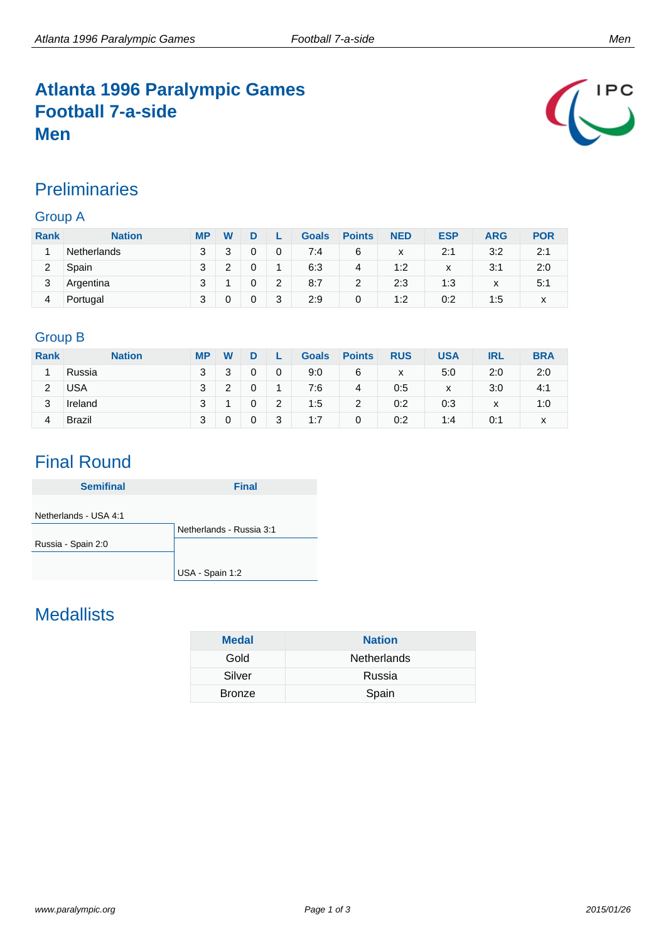### **Atlanta 1996 Paralympic Games Football 7-a-side Men**



### **Preliminaries**

#### Group A

| <b>Rank</b> | <b>Nation</b>      | <b>MP</b> | W      |   |   | <b>Goals</b> | <b>Points</b> | <b>NED</b> | <b>ESP</b> | ARG          | <b>POR</b> |
|-------------|--------------------|-----------|--------|---|---|--------------|---------------|------------|------------|--------------|------------|
|             | <b>Netherlands</b> | ર         | 2<br>J |   | 0 | 7:4          | 6             | x          | 2:1        | 3:2          | 2:1        |
| 2           | Spain              | ว         | ົ      |   |   | 6:3          | 4             | 1:2        | X          | 3:1          | 2:0        |
| 3           | Argentina          | c         |        |   | 2 | 8:7          | 2             | 2:3        | 1:3        | $\checkmark$ | 5:1        |
| 4           | Portugal           | c         | 0      | 0 | 3 | 2:9          | 0             | 1:2        | 0:2        | 1:5          | x          |

#### Group B

| <b>Rank</b> | <b>Nation</b> | <b>MP</b> | W      |   |   | <b>Goals</b> | <b>Points</b> | <b>RUS</b> | <b>USA</b> | IRL | <b>BRA</b> |
|-------------|---------------|-----------|--------|---|---|--------------|---------------|------------|------------|-----|------------|
|             | Russia        | 3         | າ<br>ບ | 0 | 0 | 9:0          | 6             | X          | 5:0        | 2:0 | 2:0        |
| 2           | USA           | 3         | າ      |   |   | 7:6          | 4             | 0:5        | X          | 3:0 | 4:1        |
| 3           | Ireland       | 3         |        | 0 | 2 | 1:5          | 2             | 0:2        | 0:3        | х   | 1:0        |
| 4           | <b>Brazil</b> | 3         |        | 0 | 3 | 1:7          | 0             | 0:2        | 1:4        | 0:1 | x          |

### Final Round

| <b>Semifinal</b>      | <b>Final</b>             |
|-----------------------|--------------------------|
| Netherlands - USA 4:1 |                          |
|                       | Netherlands - Russia 3:1 |
| Russia - Spain 2:0    |                          |
|                       |                          |
|                       | USA - Spain 1:2          |

## **Medallists**

| <b>Medal</b>  | <b>Nation</b>      |
|---------------|--------------------|
| Gold          | <b>Netherlands</b> |
| Silver        | Russia             |
| <b>Bronze</b> | Spain              |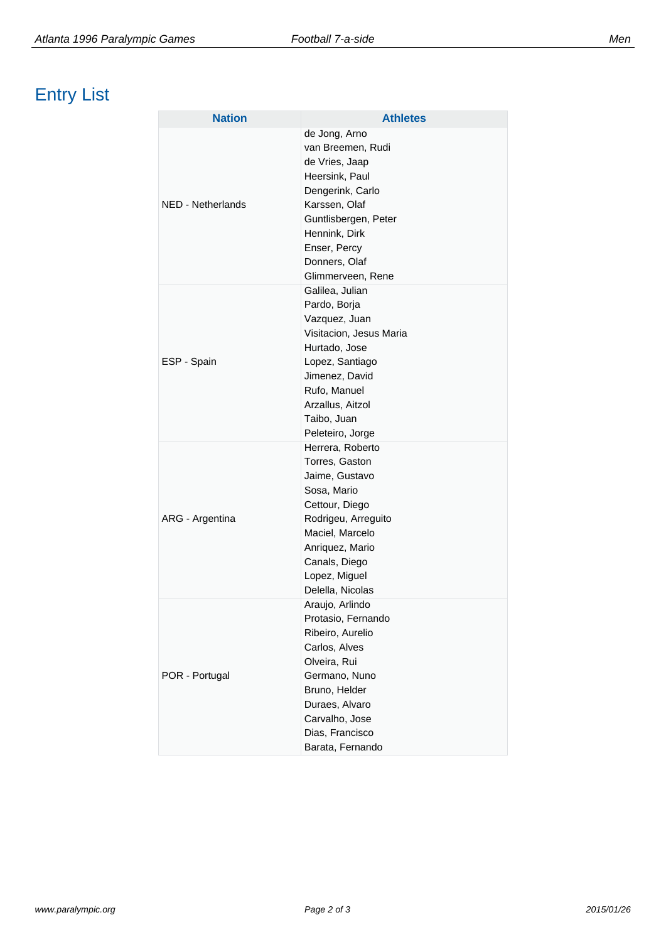# Entry List

| <b>Nation</b>     | <b>Athletes</b>                                                                                                                                                                                            |
|-------------------|------------------------------------------------------------------------------------------------------------------------------------------------------------------------------------------------------------|
| NED - Netherlands | de Jong, Arno<br>van Breemen, Rudi<br>de Vries, Jaap<br>Heersink, Paul<br>Dengerink, Carlo<br>Karssen, Olaf<br>Guntlisbergen, Peter<br>Hennink, Dirk<br>Enser, Percy<br>Donners, Olaf<br>Glimmerveen, Rene |
| ESP - Spain       | Galilea, Julian<br>Pardo, Borja<br>Vazquez, Juan<br>Visitacion, Jesus Maria<br>Hurtado, Jose<br>Lopez, Santiago<br>Jimenez, David<br>Rufo, Manuel<br>Arzallus, Aitzol<br>Taibo, Juan<br>Peleteiro, Jorge   |
| ARG - Argentina   | Herrera, Roberto<br>Torres, Gaston<br>Jaime, Gustavo<br>Sosa, Mario<br>Cettour, Diego<br>Rodrigeu, Arreguito<br>Maciel, Marcelo<br>Anriquez, Mario<br>Canals, Diego<br>Lopez, Miguel<br>Delella, Nicolas   |
| POR - Portugal    | Araujo, Arlindo<br>Protasio, Fernando<br>Ribeiro, Aurelio<br>Carlos, Alves<br>Olveira, Rui<br>Germano, Nuno<br>Bruno, Helder<br>Duraes, Alvaro<br>Carvalho, Jose<br>Dias, Francisco<br>Barata, Fernando    |